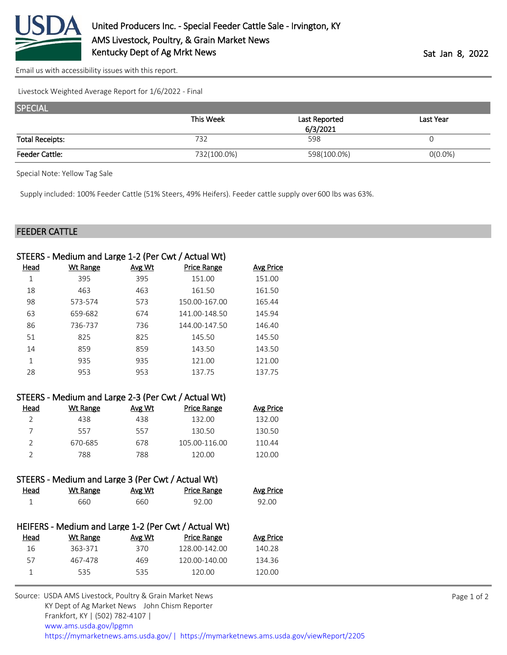

[Email us with accessibility issues with this report.](mailto:mars@ams.usda.gov?subject=508%20issue)

Livestock Weighted Average Report for 1/6/2022 - Final

| <b>SPECIAL</b>         |             |               |            |
|------------------------|-------------|---------------|------------|
|                        | This Week   | Last Reported | Last Year  |
|                        |             | 6/3/2021      |            |
| <b>Total Receipts:</b> | 732         | 598           |            |
| <b>Feeder Cattle:</b>  | 732(100.0%) | 598(100.0%)   | $0(0.0\%)$ |

Special Note: Yellow Tag Sale

Supply included: 100% Feeder Cattle (51% Steers, 49% Heifers). Feeder cattle supply over 600 lbs was 63%.

## FEEDER CATTLE

| STEERS - Medium and Large 1-2 (Per Cwt / Actual Wt) |                                                     |        |                    |                  |  |  |
|-----------------------------------------------------|-----------------------------------------------------|--------|--------------------|------------------|--|--|
| <b>Head</b>                                         | Wt Range                                            | Avg Wt | <b>Price Range</b> | <b>Avg Price</b> |  |  |
| $\mathbf{1}$                                        | 395                                                 | 395    | 151.00             | 151.00           |  |  |
| 18                                                  | 463                                                 | 463    | 161.50             | 161.50           |  |  |
| 98                                                  | 573-574                                             | 573    | 150.00-167.00      | 165.44           |  |  |
| 63                                                  | 659-682                                             | 674    | 141.00-148.50      | 145.94           |  |  |
| 86                                                  | 736-737                                             | 736    | 144.00-147.50      | 146.40           |  |  |
| 51                                                  | 825                                                 | 825    | 145.50             | 145.50           |  |  |
| 14                                                  | 859                                                 | 859    | 143.50             | 143.50           |  |  |
| $\mathbf{1}$                                        | 935                                                 | 935    | 121.00             | 121.00           |  |  |
| 28                                                  | 953                                                 | 953    | 137.75             | 137.75           |  |  |
|                                                     |                                                     |        |                    |                  |  |  |
|                                                     | STEERS - Medium and Large 2-3 (Per Cwt / Actual Wt) |        |                    |                  |  |  |
| Head                                                | <b>Wt Range</b>                                     | Avg Wt | <b>Price Range</b> | <b>Avg Price</b> |  |  |
| $\overline{2}$                                      | 438                                                 | 438    | 132.00             | 132.00           |  |  |
| $\overline{7}$                                      | 557                                                 | 557    | 130.50             | 130.50           |  |  |
| $\overline{2}$                                      | 670-685                                             | 678    | 105.00-116.00      | 110.44           |  |  |
| $\overline{2}$                                      | 788                                                 | 788    | 120.00             | 120.00           |  |  |
|                                                     |                                                     |        |                    |                  |  |  |
| STEERS - Medium and Large 3 (Per Cwt / Actual Wt)   |                                                     |        |                    |                  |  |  |
| Head                                                | <b>Wt Range</b>                                     | Avg Wt | <b>Price Range</b> | <b>Avg Price</b> |  |  |
| 1                                                   | 660                                                 | 660    | 92.00              | 92.00            |  |  |
|                                                     |                                                     |        |                    |                  |  |  |

| HEIFERS - Medium and Large 1-2 (Per Cwt / Actual Wt) |        |                    |           |  |  |
|------------------------------------------------------|--------|--------------------|-----------|--|--|
| Wt Range                                             | Avg Wt | <b>Price Range</b> | Avg Price |  |  |
| 363-371                                              | 370    | 128.00-142.00      | 140.28    |  |  |
| 467-478                                              | 469    | 120.00-140.00      | 134.36    |  |  |
| 535.                                                 | 535    | 120.00             | 120.00    |  |  |
|                                                      |        |                    |           |  |  |

| Source: USDA AMS Livestock, Poultry & Grain Market News                                |
|----------------------------------------------------------------------------------------|
| KY Dept of Ag Market News John Chism Reporter                                          |
| Frankfort, KY   (502) 782-4107                                                         |
| www.ams.usda.gov/lpgmn                                                                 |
| https://mymarketnews.ams.usda.gov/   https://mymarketnews.ams.usda.gov/viewReport/2205 |